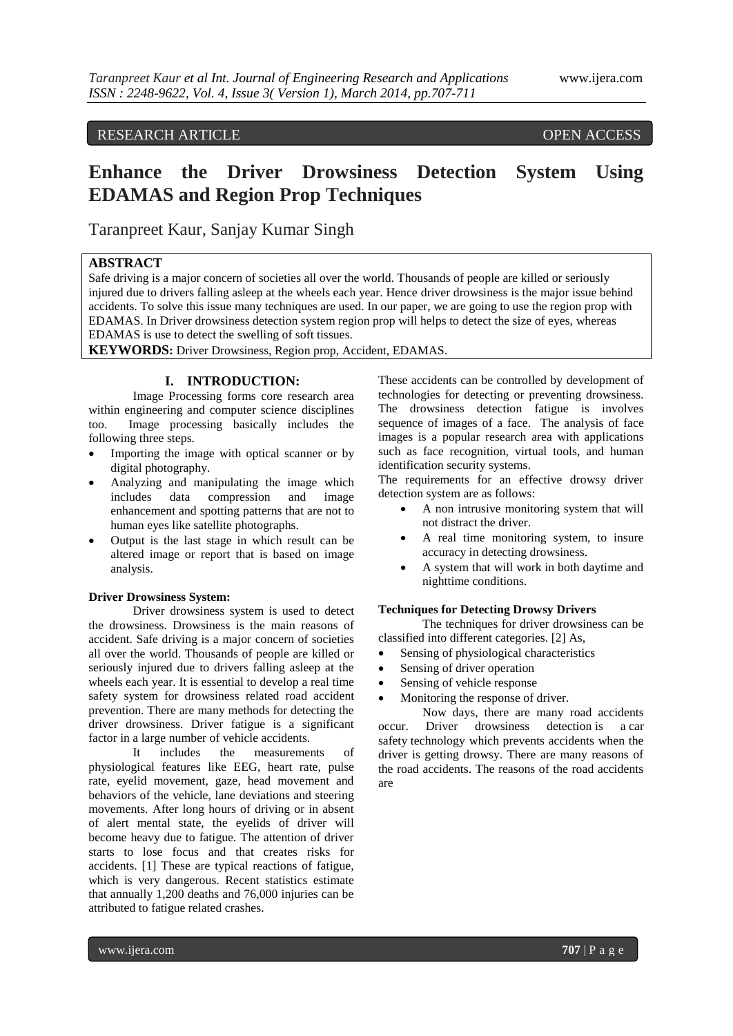# RESEARCH ARTICLE OPEN ACCESS

# **Enhance the Driver Drowsiness Detection System Using EDAMAS and Region Prop Techniques**

Taranpreet Kaur, Sanjay Kumar Singh

# **ABSTRACT**

Safe driving is a major concern of societies all over the world. Thousands of people are killed or seriously injured due to drivers falling asleep at the wheels each year. Hence driver drowsiness is the major issue behind accidents. To solve this issue many techniques are used. In our paper, we are going to use the region prop with EDAMAS. In Driver drowsiness detection system region prop will helps to detect the size of eyes, whereas EDAMAS is use to detect the swelling of soft tissues.

**KEYWORDS:** Driver Drowsiness, Region prop, Accident, EDAMAS.

## **I. INTRODUCTION:**

Image Processing forms core research area within engineering and computer science disciplines too. Image processing basically includes the following three steps.

- Importing the image with optical scanner or by digital photography.
- Analyzing and manipulating the image which includes data compression and image enhancement and spotting patterns that are not to human eyes like satellite photographs.
- Output is the last stage in which result can be altered image or report that is based on image analysis.

#### **Driver Drowsiness System:**

Driver drowsiness system is used to detect the drowsiness. Drowsiness is the main reasons of accident. Safe driving is a major concern of societies all over the world. Thousands of people are killed or seriously injured due to drivers falling asleep at the wheels each year. It is essential to develop a real time safety system for drowsiness related road accident prevention. There are many methods for detecting the driver drowsiness. Driver fatigue is a significant factor in a large number of vehicle accidents.

It includes the measurements of physiological features like EEG, heart rate, pulse rate, eyelid movement, gaze, head movement and behaviors of the vehicle, lane deviations and steering movements. After long hours of driving or in absent of alert mental state, the eyelids of driver will become heavy due to fatigue. The attention of driver starts to lose focus and that creates risks for accidents. [1] These are typical reactions of fatigue, which is very dangerous. Recent statistics estimate that annually 1,200 deaths and 76,000 injuries can be attributed to fatigue related crashes.

These accidents can be controlled by development of technologies for detecting or preventing drowsiness. The drowsiness detection fatigue is involves sequence of images of a face. The analysis of face images is a popular research area with applications such as face recognition, virtual tools, and human identification security systems.

The requirements for an effective drowsy driver detection system are as follows:

- A non intrusive monitoring system that will not distract the driver.
- A real time monitoring system, to insure accuracy in detecting drowsiness.
- A system that will work in both daytime and nighttime conditions.

#### **Techniques for Detecting Drowsy Drivers**

The techniques for driver drowsiness can be classified into different categories. [2] As,

- Sensing of physiological characteristics
- Sensing of driver operation
- Sensing of vehicle response
- Monitoring the response of driver.

Now days, there are many road accidents occur. Driver drowsiness detection is a [car](http://en.wikipedia.org/wiki/Car_safety)  [safety](http://en.wikipedia.org/wiki/Car_safety) technology which prevents accidents when the driver is getting drowsy. There are many reasons of the road accidents. The reasons of the road accidents are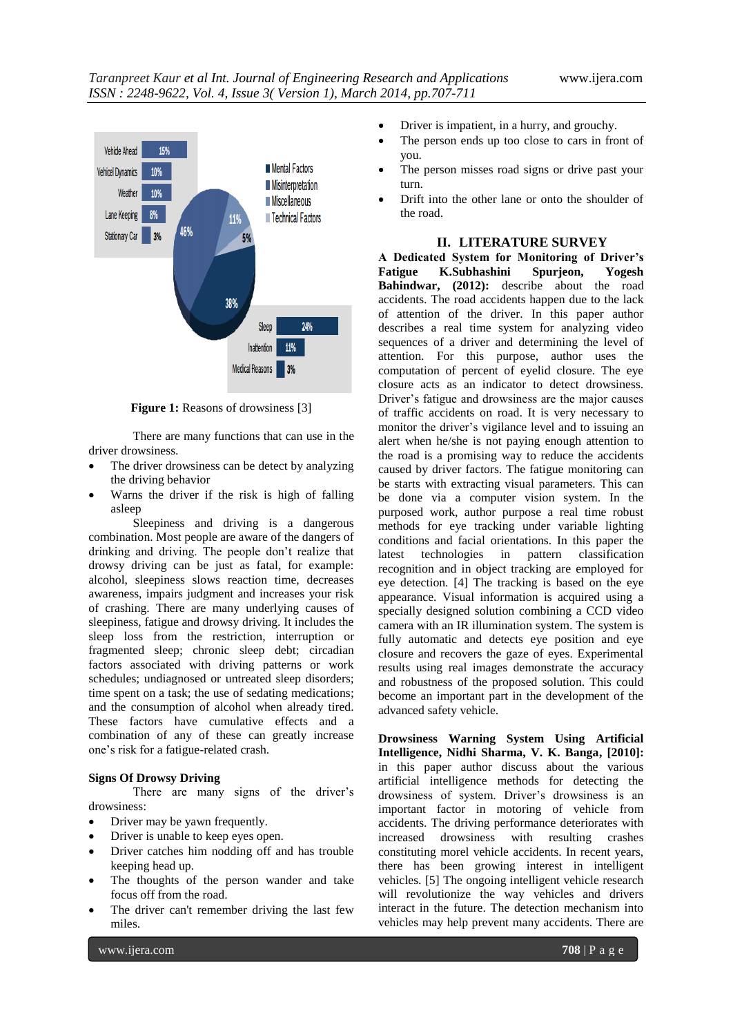

**Figure 1:** Reasons of drowsiness [3]

There are many functions that can use in the driver drowsiness.

- The driver drowsiness can be detect by analyzing the driving behavior
- Warns the driver if the risk is high of falling asleep

Sleepiness and driving is a dangerous combination. Most people are aware of the dangers of drinking and driving. The people don't realize that drowsy driving can be just as fatal, for example: alcohol, sleepiness slows reaction time, decreases awareness, impairs judgment and increases your risk of crashing. There are many underlying causes of sleepiness, fatigue and drowsy driving. It includes the sleep loss from the restriction, interruption or fragmented sleep; chronic sleep debt; circadian factors associated with driving patterns or work schedules; undiagnosed or untreated sleep disorders; time spent on a task; the use of sedating medications; and the consumption of alcohol when already tired. These factors have cumulative effects and a combination of any of these can greatly increase one's risk for a fatigue-related crash.

#### **Signs Of Drowsy Driving**

There are many signs of the driver's drowsiness:

- Driver may be yawn frequently.
- Driver is unable to keep eyes open.
- Driver catches him nodding off and has trouble keeping head up.
- The thoughts of the person wander and take focus off from the road.
- The driver can't remember driving the last few miles.
- Driver is impatient, in a hurry, and grouchy.
- The person ends up too close to cars in front of you.
- The person misses road signs or drive past your turn.
- Drift into the other lane or onto the shoulder of the road.

### **II. LITERATURE SURVEY**

**A Dedicated System for Monitoring of Driver's Fatigue K.Subhashini Spurjeon, Yogesh Bahindwar, (2012):** describe about the road accidents. The road accidents happen due to the lack of attention of the driver. In this paper author describes a real time system for analyzing video sequences of a driver and determining the level of attention. For this purpose, author uses the computation of percent of eyelid closure. The eye closure acts as an indicator to detect drowsiness. Driver's fatigue and drowsiness are the major causes of traffic accidents on road. It is very necessary to monitor the driver's vigilance level and to issuing an alert when he/she is not paying enough attention to the road is a promising way to reduce the accidents caused by driver factors. The fatigue monitoring can be starts with extracting visual parameters. This can be done via a computer vision system. In the purposed work, author purpose a real time robust methods for eye tracking under variable lighting conditions and facial orientations. In this paper the latest technologies in pattern classification recognition and in object tracking are employed for eye detection. [4] The tracking is based on the eye appearance. Visual information is acquired using a specially designed solution combining a CCD video camera with an IR illumination system. The system is fully automatic and detects eye position and eye closure and recovers the gaze of eyes. Experimental results using real images demonstrate the accuracy and robustness of the proposed solution. This could become an important part in the development of the advanced safety vehicle.

**Drowsiness Warning System Using Artificial Intelligence, Nidhi Sharma, V. K. Banga, [2010]:** in this paper author discuss about the various artificial intelligence methods for detecting the drowsiness of system. Driver's drowsiness is an important factor in motoring of vehicle from accidents. The driving performance deteriorates with increased drowsiness with resulting crashes constituting morel vehicle accidents. In recent years, there has been growing interest in intelligent vehicles. [5] The ongoing intelligent vehicle research will revolutionize the way vehicles and drivers interact in the future. The detection mechanism into vehicles may help prevent many accidents. There are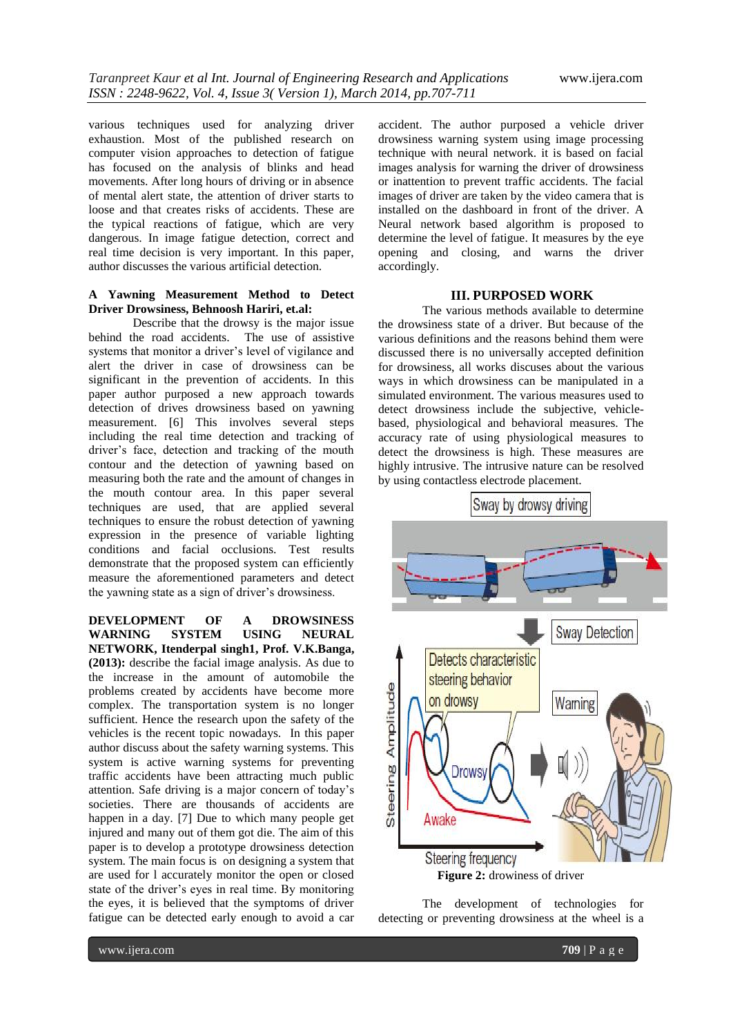various techniques used for analyzing driver exhaustion. Most of the published research on computer vision approaches to detection of fatigue has focused on the analysis of blinks and head movements. After long hours of driving or in absence of mental alert state, the attention of driver starts to loose and that creates risks of accidents. These are the typical reactions of fatigue, which are very dangerous. In image fatigue detection, correct and real time decision is very important. In this paper, author discusses the various artificial detection.

## **A Yawning Measurement Method to Detect Driver Drowsiness, Behnoosh Hariri, et.al:**

Describe that the drowsy is the major issue behind the road accidents. The use of assistive systems that monitor a driver's level of vigilance and alert the driver in case of drowsiness can be significant in the prevention of accidents. In this paper author purposed a new approach towards detection of drives drowsiness based on yawning measurement. [6] This involves several steps including the real time detection and tracking of driver's face, detection and tracking of the mouth contour and the detection of yawning based on measuring both the rate and the amount of changes in the mouth contour area. In this paper several techniques are used, that are applied several techniques to ensure the robust detection of yawning expression in the presence of variable lighting conditions and facial occlusions. Test results demonstrate that the proposed system can efficiently measure the aforementioned parameters and detect the yawning state as a sign of driver's drowsiness.

**DEVELOPMENT OF A DROWSINESS WARNING SYSTEM USING NEURAL NETWORK, Itenderpal singh1, Prof. V.K.Banga, (2013):** describe the facial image analysis. As due to the increase in the amount of automobile the problems created by accidents have become more complex. The transportation system is no longer sufficient. Hence the research upon the safety of the vehicles is the recent topic nowadays. In this paper author discuss about the safety warning systems. This system is active warning systems for preventing traffic accidents have been attracting much public attention. Safe driving is a major concern of today's societies. There are thousands of accidents are happen in a day. [7] Due to which many people get injured and many out of them got die. The aim of this paper is to develop a prototype drowsiness detection system. The main focus is on designing a system that are used for l accurately monitor the open or closed state of the driver's eyes in real time. By monitoring the eyes, it is believed that the symptoms of driver fatigue can be detected early enough to avoid a car

accident. The author purposed a vehicle driver drowsiness warning system using image processing technique with neural network. it is based on facial images analysis for warning the driver of drowsiness or inattention to prevent traffic accidents. The facial images of driver are taken by the video camera that is installed on the dashboard in front of the driver. A Neural network based algorithm is proposed to determine the level of fatigue. It measures by the eye opening and closing, and warns the driver accordingly.

## **III. PURPOSED WORK**

The various methods available to determine the drowsiness state of a driver. But because of the various definitions and the reasons behind them were discussed there is no universally accepted definition for drowsiness, all works discuses about the various ways in which drowsiness can be manipulated in a simulated environment. The various measures used to detect drowsiness include the subjective, vehiclebased, physiological and behavioral measures. The accuracy rate of using physiological measures to detect the drowsiness is high. These measures are highly intrusive. The intrusive nature can be resolved by using contactless electrode placement.



The development of technologies for detecting or preventing drowsiness at the wheel is a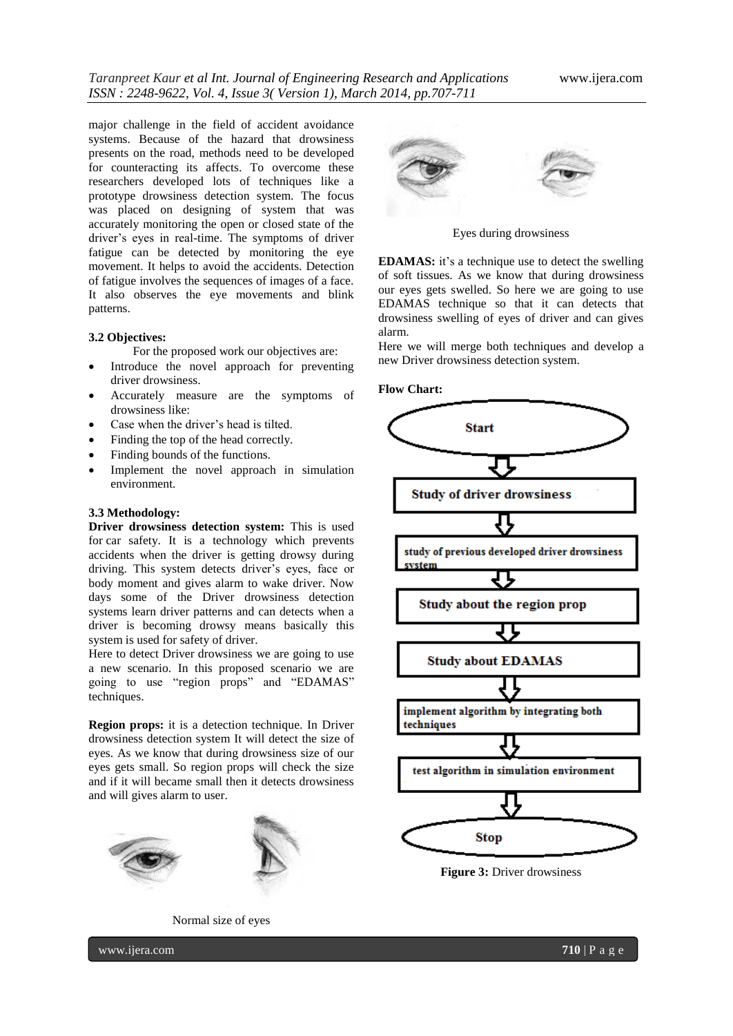major challenge in the field of accident avoidance systems. Because of the hazard that drowsiness presents on the road, methods need to be developed for counteracting its affects. To overcome these researchers developed lots of techniques like a prototype drowsiness detection system. The focus was placed on designing of system that was accurately monitoring the open or closed state of the driver's eyes in real-time. The symptoms of driver fatigue can be detected by monitoring the eye movement. It helps to avoid the accidents. Detection of fatigue involves the sequences of images of a face. It also observes the eye movements and blink patterns.

#### **3.2 Objectives:**

For the proposed work our objectives are:

- Introduce the novel approach for preventing driver drowsiness.
- Accurately measure are the symptoms of drowsiness like:
- Case when the driver's head is tilted.
- Finding the top of the head correctly.
- Finding bounds of the functions.
- Implement the novel approach in simulation environment.

#### **3.3 Methodology:**

**Driver drowsiness detection system:** This is used for [car safety.](http://en.wikipedia.org/wiki/Car_safety) It is a technology which prevents accidents when the driver is getting drowsy during driving. This system detects driver's eyes, face or body moment and gives alarm to wake driver. Now days some of the Driver drowsiness detection systems learn driver patterns and can detects when a driver is becoming drowsy means basically this system is used for safety of driver.

Here to detect Driver drowsiness we are going to use a new scenario. In this proposed scenario we are going to use "region props" and "EDAMAS" techniques.

**Region props:** it is a detection technique. In Driver drowsiness detection system It will detect the size of eyes. As we know that during drowsiness size of our eyes gets small. So region props will check the size and if it will became small then it detects drowsiness and will gives alarm to user.



Normal size of eyes



Eyes during drowsiness

**EDAMAS:** it's a technique use to detect the swelling of soft tissues. As we know that during drowsiness our eyes gets swelled. So here we are going to use EDAMAS technique so that it can detects that drowsiness swelling of eyes of driver and can gives alarm.

Here we will merge both techniques and develop a new Driver drowsiness detection system.

**Flow Chart:**



**Figure 3:** Driver drowsiness

www.ijera.com **710** | P a g e